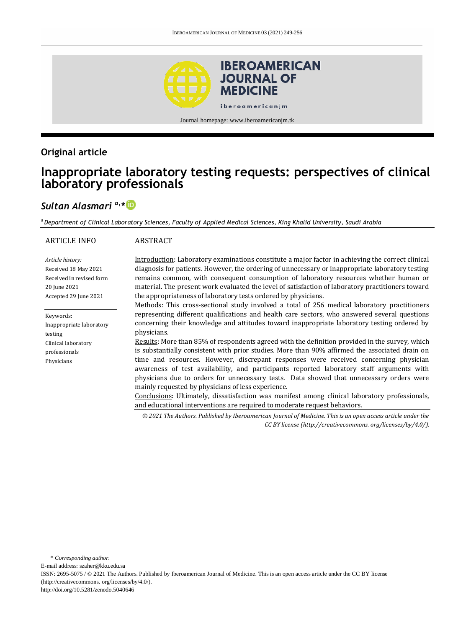

Journal homepage: www.iberoamericanjm.tk

# **Original article**

# **Inappropriate laboratory testing requests: perspectives of clinical laboratory professionals**

# *Sultan Alasmari a,\**

*<sup>a</sup>Department of Clinical Laboratory Sciences, Faculty of Applied Medical Sciences, King Khalid University, Saudi Arabia*

| <b>ARTICLE INFO</b>                                                                                           | <b>ABSTRACT</b>                                                                                                                                                                                                                                                                                                                                                                                                                                                                                                                                                      |
|---------------------------------------------------------------------------------------------------------------|----------------------------------------------------------------------------------------------------------------------------------------------------------------------------------------------------------------------------------------------------------------------------------------------------------------------------------------------------------------------------------------------------------------------------------------------------------------------------------------------------------------------------------------------------------------------|
| Article history:<br>Received 18 May 2021<br>Received in revised form<br>20 June 2021<br>Accepted 29 June 2021 | Introduction: Laboratory examinations constitute a major factor in achieving the correct clinical<br>diagnosis for patients. However, the ordering of unnecessary or inappropriate laboratory testing<br>remains common, with consequent consumption of laboratory resources whether human or<br>material. The present work evaluated the level of satisfaction of laboratory practitioners toward<br>the appropriateness of laboratory tests ordered by physicians.<br>Methods: This cross-sectional study involved a total of 256 medical laboratory practitioners |
| Keywords:<br>Inappropriate laboratory<br>testing                                                              | representing different qualifications and health care sectors, who answered several questions<br>concerning their knowledge and attitudes toward inappropriate laboratory testing ordered by<br>physicians.                                                                                                                                                                                                                                                                                                                                                          |
| Clinical laboratory<br>professionals<br>Physicians                                                            | Results: More than 85% of respondents agreed with the definition provided in the survey, which<br>is substantially consistent with prior studies. More than 90% affirmed the associated drain on<br>time and resources. However, discrepant responses were received concerning physician<br>awareness of test availability, and participants reported laboratory staff arguments with<br>physicians due to orders for unnecessary tests. Data showed that unnecessary orders were<br>mainly requested by physicians of less experience.                              |
|                                                                                                               | Conclusions: Ultimately, dissatisfaction was manifest among clinical laboratory professionals,<br>and educational interventions are required to moderate request behaviors.                                                                                                                                                                                                                                                                                                                                                                                          |
|                                                                                                               | © 2021 The Authors. Published by Iberoamerican Journal of Medicine. This is an open access article under the<br>CC BY license (http://creativecommons.org/licenses/by/4.0/).                                                                                                                                                                                                                                                                                                                                                                                         |

E-mail address: szaher@kku.edu.sa

http://doi.org/10.5281/zenodo.5040646

<sup>\*</sup> *Corresponding author.*

ISSN: 2695-5075 / © 2021 The Authors. Published by Iberoamerican Journal of Medicine. This is an open access article under the CC BY license (http://creativecommons. org/licenses/by/4.0/).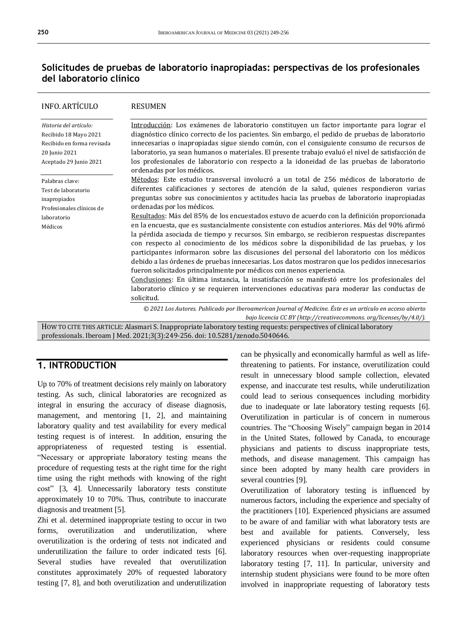# **Solicitudes de pruebas de laboratorio inapropiadas: perspectivas de los profesionales del laboratorio clínico**

| <b>INFO. ARTÍCULO</b>                                                                                                    | RESUMEN                                                                                                                                                                                                                                                                                                                                                                                                                                                                                                                                                                                                                                                                                                                                                               |  |
|--------------------------------------------------------------------------------------------------------------------------|-----------------------------------------------------------------------------------------------------------------------------------------------------------------------------------------------------------------------------------------------------------------------------------------------------------------------------------------------------------------------------------------------------------------------------------------------------------------------------------------------------------------------------------------------------------------------------------------------------------------------------------------------------------------------------------------------------------------------------------------------------------------------|--|
| Historia del artículo:<br>Recibido 18 Mayo 2021<br>Recibido en forma revisada<br>20 Junio 2021<br>Aceptado 29 Junio 2021 | Introducción: Los exámenes de laboratorio constituyen un factor importante para lograr el<br>diagnóstico clínico correcto de los pacientes. Sin embargo, el pedido de pruebas de laboratorio<br>innecesarias o inapropiadas sigue siendo común, con el consiguiente consumo de recursos de<br>laboratorio, ya sean humanos o materiales. El presente trabajo evaluó el nivel de satisfacción de<br>los profesionales de laboratorio con respecto a la idoneidad de las pruebas de laboratorio<br>ordenadas por los médicos.                                                                                                                                                                                                                                           |  |
| Palabras clave:<br>Test de laboratorio<br>inapropiados<br>Profesionales clínicos de                                      | Métodos: Este estudio transversal involucró a un total de 256 médicos de laboratorio de<br>diferentes calificaciones y sectores de atención de la salud, quienes respondieron varias<br>preguntas sobre sus conocimientos y actitudes hacia las pruebas de laboratorio inapropiadas<br>ordenadas por los médicos.                                                                                                                                                                                                                                                                                                                                                                                                                                                     |  |
| laboratorio<br>Médicos                                                                                                   | Resultados: Más del 85% de los encuestados estuvo de acuerdo con la definición proporcionada<br>en la encuesta, que es sustancialmente consistente con estudios anteriores. Más del 90% afirmó<br>la pérdida asociada de tiempo y recursos. Sin embargo, se recibieron respuestas discrepantes<br>con respecto al conocimiento de los médicos sobre la disponibilidad de las pruebas, y los<br>participantes informaron sobre las discusiones del personal del laboratorio con los médicos<br>debido a las órdenes de pruebas innecesarias. Los datos mostraron que los pedidos innecesarios<br>fueron solicitados principalmente por médicos con menos experiencia.<br>Conclusiones: En última instancia, la insatisfacción se manifestó entre los profesionales del |  |
|                                                                                                                          | laboratorio clínico y se requieren intervenciones educativas para moderar las conductas de<br>solicitud.                                                                                                                                                                                                                                                                                                                                                                                                                                                                                                                                                                                                                                                              |  |
|                                                                                                                          | © 2021 Los Autores. Publicado por Iberoamerican Journal of Medicine. Éste es un artículo en acceso abierto                                                                                                                                                                                                                                                                                                                                                                                                                                                                                                                                                                                                                                                            |  |

*bajo licencia CC BY (http:/[/creativecommons. org/licenses/by/4.0/\)](https://creativecommons.org/licenses/by/4.0/).*

HOW TO CITE THIS ARTICLE: Alasmari S. Inappropriate laboratory testing requests: perspectives of clinical laboratory professionals. Iberoam J Med. 2021;3(3):249-256. doi[: 10.5281/zenodo.5040646.](http://doi.org/10.5281/zenodo.5040646)

# **1. INTRODUCTION**

Up to 70% of treatment decisions rely mainly on laboratory testing. As such, clinical laboratories are recognized as integral in ensuring the accuracy of disease diagnosis, management, and mentoring [1, 2], and maintaining laboratory quality and test availability for every medical testing request is of interest. In addition, ensuring the appropriateness of requested testing is essential. "Necessary or appropriate laboratory testing means the procedure of requesting tests at the right time for the right time using the right methods with knowing of the right cost" [3, 4]. Unnecessarily laboratory tests constitute approximately 10 to 70%. Thus, contribute to inaccurate diagnosis and treatment [5].

Zhi et al. determined inappropriate testing to occur in two forms, overutilization and underutilization, where overutilization is the ordering of tests not indicated and underutilization the failure to order indicated tests [6]. Several studies have revealed that overutilization constitutes approximately 20% of requested laboratory testing [7, 8], and both overutilization and underutilization

can be physically and economically harmful as well as lifethreatening to patients. For instance, overutilization could result in unnecessary blood sample collection, elevated expense, and inaccurate test results, while underutilization could lead to serious consequences including morbidity due to inadequate or late laboratory testing requests [6]. Overutilization in particular is of concern in numerous countries. The "Choosing Wisely" campaign began in 2014 in the United States, followed by Canada, to encourage physicians and patients to discuss inappropriate tests, methods, and disease management. This campaign has since been adopted by many health care providers in several countries [9].

Overutilization of laboratory testing is influenced by numerous factors, including the experience and specialty of the practitioners [10]. Experienced physicians are assumed to be aware of and familiar with what laboratory tests are best and available for patients. Conversely, less experienced physicians or residents could consume laboratory resources when over-requesting inappropriate laboratory testing [7, 11]. In particular, university and internship student physicians were found to be more often involved in inappropriate requesting of laboratory tests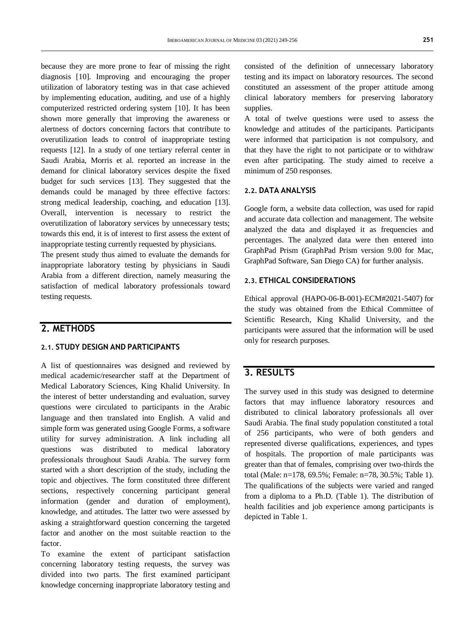because they are more prone to fear of missing the right diagnosis [10]. Improving and encouraging the proper utilization of laboratory testing was in that case achieved by implementing education, auditing, and use of a highly computerized restricted ordering system [10]. It has been shown more generally that improving the awareness or alertness of doctors concerning factors that contribute to overutilization leads to control of inappropriate testing requests [12]. In a study of one tertiary referral center in Saudi Arabia, Morris et al. reported an increase in the demand for clinical laboratory services despite the fixed budget for such services [13]. They suggested that the demands could be managed by three effective factors: strong medical leadership, coaching, and education [13]. Overall, intervention is necessary to restrict the overutilization of laboratory services by unnecessary tests; towards this end, it is of interest to first assess the extent of inappropriate testing currently requested by physicians.

The present study thus aimed to evaluate the demands for inappropriate laboratory testing by physicians in Saudi Arabia from a different direction, namely measuring the satisfaction of medical laboratory professionals toward testing requests.

### **2. METHODS**

#### **2.1. STUDY DESIGN AND PARTICIPANTS**

A list of questionnaires was designed and reviewed by medical academic/researcher staff at the Department of Medical Laboratory Sciences, King Khalid University. In the interest of better understanding and evaluation, survey questions were circulated to participants in the Arabic language and then translated into English. A valid and simple form was generated using Google Forms, a software utility for survey administration. A link including all questions was distributed to medical laboratory professionals throughout Saudi Arabia. The survey form started with a short description of the study, including the topic and objectives. The form constituted three different sections, respectively concerning participant general information (gender and duration of employment), knowledge, and attitudes. The latter two were assessed by asking a straightforward question concerning the targeted factor and another on the most suitable reaction to the factor.

To examine the extent of participant satisfaction concerning laboratory testing requests, the survey was divided into two parts. The first examined participant knowledge concerning inappropriate laboratory testing and consisted of the definition of unnecessary laboratory testing and its impact on laboratory resources. The second constituted an assessment of the proper attitude among clinical laboratory members for preserving laboratory supplies.

A total of twelve questions were used to assess the knowledge and attitudes of the participants. Participants were informed that participation is not compulsory, and that they have the right to not participate or to withdraw even after participating. The study aimed to receive a minimum of 250 responses.

#### **2.2. DATA ANALYSIS**

Google form, a website data collection, was used for rapid and accurate data collection and management. The website analyzed the data and displayed it as frequencies and percentages. The analyzed data were then entered into GraphPad Prism (GraphPad Prism version 9.00 for Mac, GraphPad Software, San Diego CA) for further analysis.

#### **2.3. ETHICAL CONSIDERATIONS**

Ethical approval (HAPO-06-B-001)-ECM#2021-5407) for the study was obtained from the Ethical Committee of Scientific Research, King Khalid University, and the participants were assured that the information will be used only for research purposes.

## **3. RESULTS**

The survey used in this study was designed to determine factors that may influence laboratory resources and distributed to clinical laboratory professionals all over Saudi Arabia. The final study population constituted a total of 256 participants, who were of both genders and represented diverse qualifications, experiences, and types of hospitals. The proportion of male participants was greater than that of females, comprising over two-thirds the total (Male: n=178, 69.5%; Female: n=78, 30.5%; Table 1). The qualifications of the subjects were varied and ranged from a diploma to a Ph.D. (Table 1). The distribution of health facilities and job experience among participants is depicted in Table 1.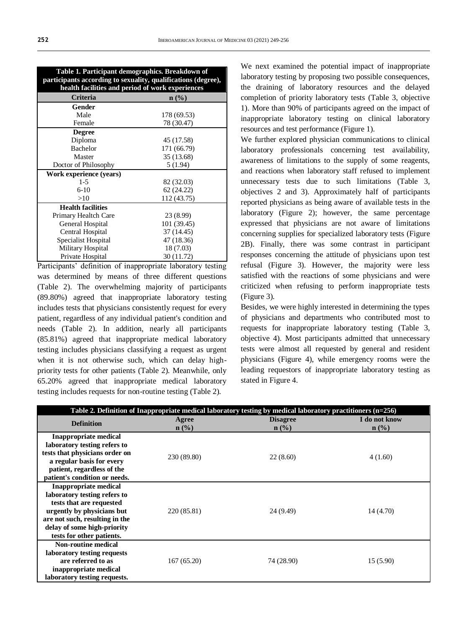| Table 1. Participant demographics. Breakdown of<br>participants according to sexuality, qualifications (degree),<br>health facilities and period of work experiences |             |  |  |  |
|----------------------------------------------------------------------------------------------------------------------------------------------------------------------|-------------|--|--|--|
| Criteria                                                                                                                                                             | $n$ (%)     |  |  |  |
| Gender                                                                                                                                                               |             |  |  |  |
| Male                                                                                                                                                                 | 178 (69.53) |  |  |  |
| Female                                                                                                                                                               | 78 (30.47)  |  |  |  |
| <b>Degree</b>                                                                                                                                                        |             |  |  |  |
| Diploma                                                                                                                                                              | 45 (17.58)  |  |  |  |
| <b>Bachelor</b>                                                                                                                                                      | 171 (66.79) |  |  |  |
| Master                                                                                                                                                               | 35 (13.68)  |  |  |  |
| Doctor of Philosophy                                                                                                                                                 | 5(1.94)     |  |  |  |
| Work experience (years)                                                                                                                                              |             |  |  |  |
| $1-5$                                                                                                                                                                | 82 (32.03)  |  |  |  |
| $6-10$                                                                                                                                                               | 62 (24.22)  |  |  |  |
| >10                                                                                                                                                                  | 112 (43.75) |  |  |  |
| <b>Health facilities</b>                                                                                                                                             |             |  |  |  |
| Primary Healtch Care                                                                                                                                                 | 23 (8.99)   |  |  |  |
| General Hospital                                                                                                                                                     | 101 (39.45) |  |  |  |
| Central Hospital                                                                                                                                                     | 37 (14.45)  |  |  |  |
| Specialist Hospital                                                                                                                                                  | 47 (18.36)  |  |  |  |
| Military Hospital                                                                                                                                                    | 18 (7.03)   |  |  |  |
| Private Hospital                                                                                                                                                     | 30 (11.72)  |  |  |  |

Participants' definition of inappropriate laboratory testing was determined by means of three different questions (Table 2). The overwhelming majority of participants (89.80%) agreed that inappropriate laboratory testing includes tests that physicians consistently request for every patient, regardless of any individual patient's condition and needs (Table 2). In addition, nearly all participants (85.81%) agreed that inappropriate medical laboratory testing includes physicians classifying a request as urgent when it is not otherwise such, which can delay highpriority tests for other patients (Table 2). Meanwhile, only 65.20% agreed that inappropriate medical laboratory testing includes requests for non-routine testing (Table 2).

We next examined the potential impact of inappropriate laboratory testing by proposing two possible consequences, the draining of laboratory resources and the delayed completion of priority laboratory tests (Table 3, objective 1). More than 90% of participants agreed on the impact of inappropriate laboratory testing on clinical laboratory resources and test performance (Figure 1).

We further explored physician communications to clinical laboratory professionals concerning test availability, awareness of limitations to the supply of some reagents, and reactions when laboratory staff refused to implement unnecessary tests due to such limitations (Table 3, objectives 2 and 3). Approximately half of participants reported physicians as being aware of available tests in the laboratory (Figure 2); however, the same percentage expressed that physicians are not aware of limitations concerning supplies for specialized laboratory tests (Figure 2B). Finally, there was some contrast in participant responses concerning the attitude of physicians upon test refusal (Figure 3). However, the majority were less satisfied with the reactions of some physicians and were criticized when refusing to perform inappropriate tests (Figure 3).

Besides, we were highly interested in determining the types of physicians and departments who contributed most to requests for inappropriate laboratory testing (Table 3, objective 4). Most participants admitted that unnecessary tests were almost all requested by general and resident physicians (Figure 4), while emergency rooms were the leading requestors of inappropriate laboratory testing as stated in Figure 4.

|                                                                                                                                                                                                                      |                  | Table 2. Definition of Inappropriate medical laboratory testing by medical laboratory practitioners $(n=256)$ |                          |
|----------------------------------------------------------------------------------------------------------------------------------------------------------------------------------------------------------------------|------------------|---------------------------------------------------------------------------------------------------------------|--------------------------|
| <b>Definition</b>                                                                                                                                                                                                    | Agree<br>$n$ (%) | <b>Disagree</b><br>$n$ (%)                                                                                    | I do not know<br>$n$ (%) |
| <b>Inappropriate medical</b><br>laboratory testing refers to<br>tests that physicians order on<br>a regular basis for every<br>patient, regardless of the<br>patient's condition or needs.                           | 230 (89.80)      | 22(8.60)                                                                                                      | 4(1.60)                  |
| <b>Inappropriate medical</b><br>laboratory testing refers to<br>tests that are requested<br>urgently by physicians but<br>are not such, resulting in the<br>delay of some high-priority<br>tests for other patients. | 220 (85.81)      | 24 (9.49)                                                                                                     | 14 (4.70)                |
| <b>Non-routine medical</b><br>laboratory testing requests<br>are referred to as<br>inappropriate medical<br>laboratory testing requests.                                                                             | 167(65.20)       | 74 (28.90)                                                                                                    | 15(5.90)                 |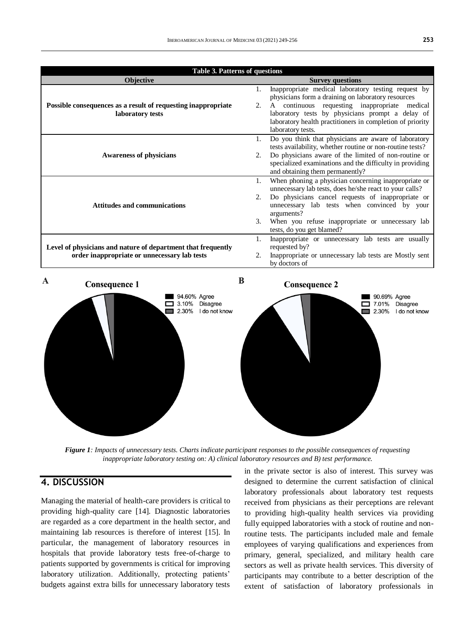| <b>Table 3. Patterns of questions</b>                         |    |                                                                                                                   |  |  |  |
|---------------------------------------------------------------|----|-------------------------------------------------------------------------------------------------------------------|--|--|--|
| Objective                                                     |    | <b>Survey questions</b>                                                                                           |  |  |  |
|                                                               |    | Inappropriate medical laboratory testing request by                                                               |  |  |  |
|                                                               |    | physicians form a draining on laboratory resources                                                                |  |  |  |
| Possible consequences as a result of requesting inappropriate | 2. | A continuous requesting inappropriate medical                                                                     |  |  |  |
| laboratory tests                                              |    | laboratory tests by physicians prompt a delay of                                                                  |  |  |  |
|                                                               |    | laboratory health practitioners in completion of priority                                                         |  |  |  |
|                                                               |    | laboratory tests.                                                                                                 |  |  |  |
|                                                               |    | Do you think that physicians are aware of laboratory                                                              |  |  |  |
| <b>Awareness of physicians</b>                                | 2. | tests availability, whether routine or non-routine tests?<br>Do physicians aware of the limited of non-routine or |  |  |  |
|                                                               |    | specialized examinations and the difficulty in providing                                                          |  |  |  |
|                                                               |    | and obtaining them permanently?                                                                                   |  |  |  |
|                                                               |    | When phoning a physician concerning inappropriate or                                                              |  |  |  |
|                                                               |    | unnecessary lab tests, does he/she react to your calls?                                                           |  |  |  |
| <b>Attitudes and communications</b>                           |    | Do physicians cancel requests of inappropriate or                                                                 |  |  |  |
|                                                               |    | unnecessary lab tests when convinced by your                                                                      |  |  |  |
|                                                               |    | arguments?                                                                                                        |  |  |  |
|                                                               |    | When you refuse inappropriate or unnecessary lab                                                                  |  |  |  |
|                                                               |    | tests, do you get blamed?<br>Inappropriate or unnecessary lab tests are usually                                   |  |  |  |
| Level of physicians and nature of department that frequently  |    | requested by?                                                                                                     |  |  |  |
| order inappropriate or unnecessary lab tests                  | 2. | Inappropriate or unnecessary lab tests are Mostly sent                                                            |  |  |  |
|                                                               |    | by doctors of                                                                                                     |  |  |  |



*Figure 1: Impacts of unnecessary tests. Charts indicate participant responses to the possible consequences of requesting inappropriate laboratory testing on: A) clinical laboratory resources and B) test performance.* 

# **4. DISCUSSION**

Managing the material of health-care providers is critical to providing high-quality care [14]. Diagnostic laboratories are regarded as a core department in the health sector, and maintaining lab resources is therefore of interest [15]. In particular, the management of laboratory resources in hospitals that provide laboratory tests free-of-charge to patients supported by governments is critical for improving laboratory utilization. Additionally, protecting patients' budgets against extra bills for unnecessary laboratory tests

in the private sector is also of interest. This survey was designed to determine the current satisfaction of clinical laboratory professionals about laboratory test requests received from physicians as their perceptions are relevant to providing high-quality health services via providing fully equipped laboratories with a stock of routine and nonroutine tests. The participants included male and female employees of varying qualifications and experiences from primary, general, specialized, and military health care sectors as well as private health services. This diversity of participants may contribute to a better description of the extent of satisfaction of laboratory professionals in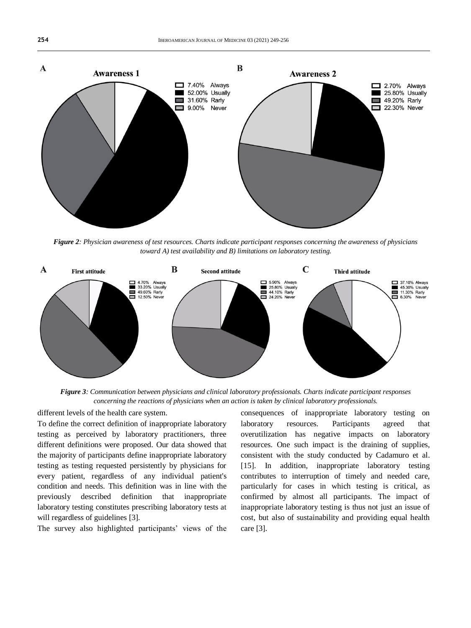

*Figure 2: Physician awareness of test resources. Charts indicate participant responses concerning the awareness of physicians toward A) test availability and B) limitations on laboratory testing.*



*Figure 3: Communication between physicians and clinical laboratory professionals. Charts indicate participant responses concerning the reactions of physicians when an action is taken by clinical laboratory professionals.*

different levels of the health care system.

To define the correct definition of inappropriate laboratory testing as perceived by laboratory practitioners, three different definitions were proposed. Our data showed that the majority of participants define inappropriate laboratory testing as testing requested persistently by physicians for every patient, regardless of any individual patient's condition and needs. This definition was in line with the previously described definition that inappropriate laboratory testing constitutes prescribing laboratory tests at will regardless of guidelines [3].

The survey also highlighted participants' views of the

consequences of inappropriate laboratory testing on laboratory resources. Participants agreed that overutilization has negative impacts on laboratory resources. One such impact is the draining of supplies, consistent with the study conducted by Cadamuro et al. [15]. In addition, inappropriate laboratory testing contributes to interruption of timely and needed care, particularly for cases in which testing is critical, as confirmed by almost all participants. The impact of inappropriate laboratory testing is thus not just an issue of cost, but also of sustainability and providing equal health care [3].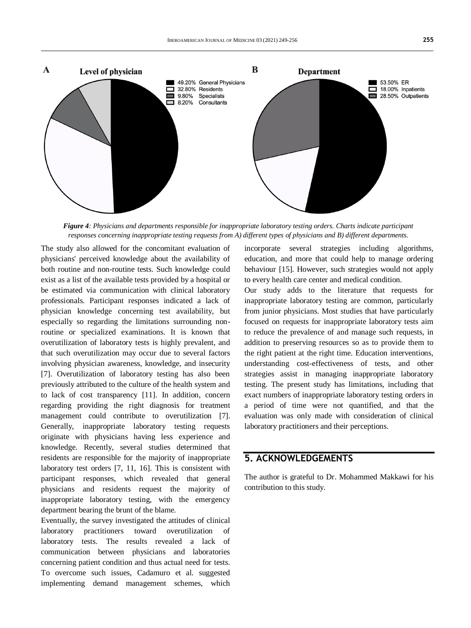

*Figure 4: Physicians and departments responsible for inappropriate laboratory testing orders. Charts indicate participant responses concerning inappropriate testing requests from A) different types of physicians and B) different departments.*

The study also allowed for the concomitant evaluation of physicians' perceived knowledge about the availability of both routine and non-routine tests. Such knowledge could exist as a list of the available tests provided by a hospital or be estimated via communication with clinical laboratory professionals. Participant responses indicated a lack of physician knowledge concerning test availability, but especially so regarding the limitations surrounding nonroutine or specialized examinations. It is known that overutilization of laboratory tests is highly prevalent, and that such overutilization may occur due to several factors involving physician awareness, knowledge, and insecurity [7]. Overutilization of laboratory testing has also been previously attributed to the culture of the health system and to lack of cost transparency [11]. In addition, concern regarding providing the right diagnosis for treatment management could contribute to overutilization [7]. Generally, inappropriate laboratory testing requests originate with physicians having less experience and knowledge. Recently, several studies determined that residents are responsible for the majority of inappropriate laboratory test orders [7, 11, 16]. This is consistent with participant responses, which revealed that general physicians and residents request the majority of inappropriate laboratory testing, with the emergency department bearing the brunt of the blame.

Eventually, the survey investigated the attitudes of clinical laboratory practitioners toward overutilization of laboratory tests. The results revealed a lack of communication between physicians and laboratories concerning patient condition and thus actual need for tests. To overcome such issues, Cadamuro et al. suggested implementing demand management schemes, which

incorporate several strategies including algorithms, education, and more that could help to manage ordering behaviour [15]. However, such strategies would not apply to every health care center and medical condition.

Our study adds to the literature that requests for inappropriate laboratory testing are common, particularly from junior physicians. Most studies that have particularly focused on requests for inappropriate laboratory tests aim to reduce the prevalence of and manage such requests, in addition to preserving resources so as to provide them to the right patient at the right time. Education interventions, understanding cost-effectiveness of tests, and other strategies assist in managing inappropriate laboratory testing. The present study has limitations, including that exact numbers of inappropriate laboratory testing orders in a period of time were not quantified, and that the evaluation was only made with consideration of clinical laboratory practitioners and their perceptions.

# **5. ACKNOWLEDGEMENTS**

The author is grateful to Dr. Mohammed Makkawi for his contribution to this study.